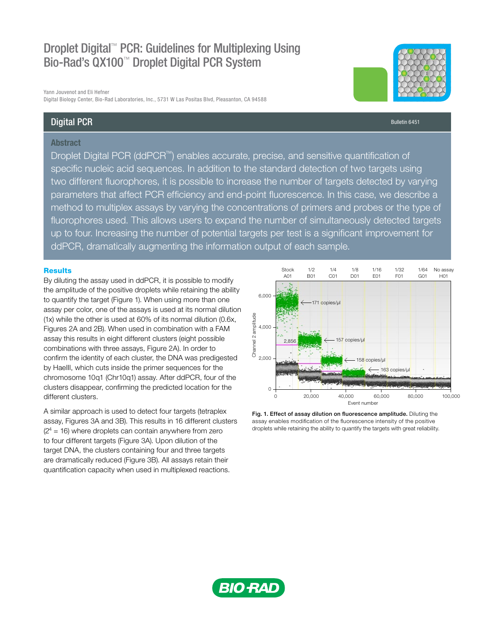# Droplet Digital™ PCR: Guidelines for Multiplexing Using Bio-Rad's QX100™ Droplet Digital PCR System

Yann Jouvenot and Eli Hefner Digital Biology Center, Bio-Rad Laboratories, Inc., 5731 W Las Positas Blvd, Pleasanton, CA 94588

# Digital PCR

## **Abstract**

Droplet Digital PCR (ddPCR™) enables accurate, precise, and sensitive quantification of specific nucleic acid sequences. In addition to the standard detection of two targets using two different fluorophores, it is possible to increase the number of targets detected by varying parameters that affect PCR efficiency and end-point fluorescence. In this case, we describe a method to multiplex assays by varying the concentrations of primers and probes or the type of fluorophores used. This allows users to expand the number of simultaneously detected targets up to four. Increasing the number of potential targets per test is a significant improvement for ddPCR, dramatically augmenting the information output of each sample.

#### **Results**

By diluting the assay used in ddPCR, it is possible to modify the amplitude of the positive droplets while retaining the ability to quantify the target (Figure 1). When using more than one assay per color, one of the assays is used at its normal dilution (1x) while the other is used at 60% of its normal dilution (0.6x, Figures 2A and 2B). When used in combination with a FAM assay this results in eight different clusters (eight possible combinations with three assays, Figure 2A). In order to confirm the identity of each cluster, the DNA was predigested by HaeIII, which cuts inside the primer sequences for the chromosome 10q1 (Chr10q1) assay. After ddPCR, four of the clusters disappear, confirming the predicted location for the different clusters.

A similar approach is used to detect four targets (tetraplex assay, Figures 3A and 3B). This results in 16 different clusters  $(2<sup>4</sup> = 16)$  where droplets can contain anywhere from zero to four different targets (Figure 3A). Upon dilution of the target DNA, the clusters containing four and three targets are dramatically reduced (Figure 3B). All assays retain their quantification capacity when used in multiplexed reactions.



Fig. 1. Effect of assay dilution on fluorescence amplitude. Diluting the assay enables modification of the fluorescence intensity of the positive



Bulletin 6451

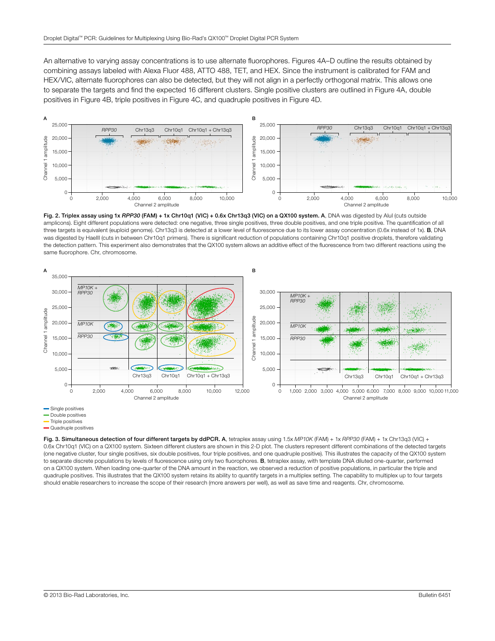An alternative to varying assay concentrations is to use alternate fluorophores. Figures 4A–D outline the results obtained by combining assays labeled with Alexa Fluor 488, ATTO 488, TET, and HEX. Since the instrument is calibrated for FAM and HEX/VIC, alternate fluorophores can also be detected, but they will not align in a perfectly orthogonal matrix. This allows one to separate the targets and find the expected 16 different clusters. Single positive clusters are outlined in Figure 4A, double positives in Figure 4B, triple positives in Figure 4C, and quadruple positives in Figure 4D.



Fig. 2. Triplex assay using 1x RPP30 (FAM) + 1x Chr10q1 (VIC) + 0.6x Chr13q3 (VIC) on a QX100 system. A, DNA was digested by Alul (cuts outside amplicons). Eight different populations were detected: one negative, three single positives, three double positives, and one triple positive. The quantification of all three targets is equivalent (euploid genome). Chr13q3 is detected at a lower level of fluorescence due to its lower assay concentration (0.6x instead of 1x). B, DNA was digested by HaeIII (cuts in between Chr10q1 primers). There is significant reduction of populations containing Chr10q1 positive droplets, therefore validating the detection pattern. This experiment also demonstrates that the QX100 system allows an additive effect of the fluorescence from two different reactions using the



**Double positives** 

Quadruple positives

Fig. 3. Simultaneous detection of four different targets by ddPCR. A, tetraplex assay using 1.5x *MP10K* (FAM) + 1x *RPP30* (FAM) + 1x Chr13q3 (VIC) + 0.6x Chr10q1 (VIC) on a QX100 system. Sixteen different clusters are shown in this 2-D plot. The clusters represent different combinations of the detected targets (one negative cluster, four single positives, six double positives, four triple positives, and one quadruple positive). This illustrates the capacity of the QX100 system to separate discrete populations by levels of fluorescence using only two fluorophores. B, tetraplex assay, with template DNA diluted one-quarter, performed on a QX100 system. When loading one-quarter of the DNA amount in the reaction, we observed a reduction of positive populations, in particular the triple and quadruple positives. This illustrates that the QX100 system retains its ability to quantify targets in a multiplex setting. The capability to multiplex up to four targets should enable researchers to increase the scope of their research (more answers per well), as well as save time and reagents. Chr, chromosome.

Triple positives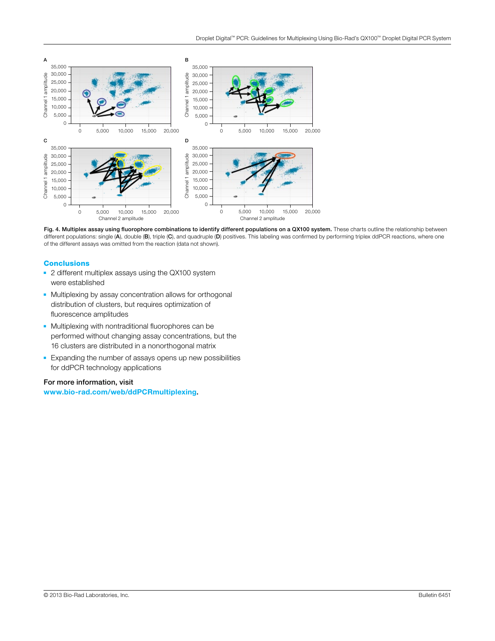

Fig. 4. Multiplex assay using fluorophore combinations to identify different populations on a QX100 system. These charts outline the relationship between different populations: single (A), double (B), triple (C), and quadruple (D) positives. This labeling was confirmed by performing triplex ddPCR reactions, where one of the different assays was omitted from the reaction (da

### **Conclusions**

- 2 different multiplex assays using the QX100 system were established
- Multiplexing by assay concentration allows for orthogonal distribution of clusters, but requires optimization of fluorescence amplitudes
- Multiplexing with nontraditional fluorophores can be performed without changing assay concentrations, but the 16 clusters are distributed in a nonorthogonal matrix
- Expanding the number of assays opens up new possibilities for ddPCR technology applications

#### For more information, visit

[www.bio-rad.com/web/ddPCRmultiplexing](http://www.bio-rad.com/en-us/product/qx200-droplet-digital-pcr-system?source_wt=ddPCRmultiplexing_web_surl).